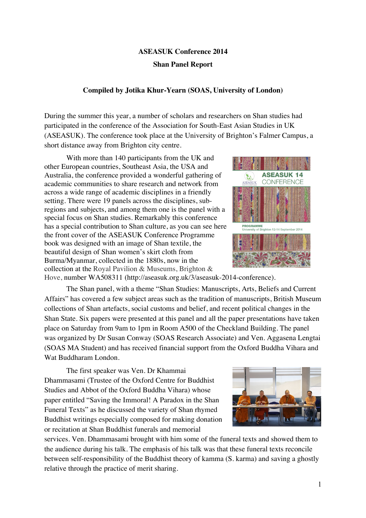## **ASEASUK Conference 2014 Shan Panel Report**

## **Compiled by Jotika Khur-Yearn (SOAS, University of London)**

During the summer this year, a number of scholars and researchers on Shan studies had participated in the conference of the Association for South-East Asian Studies in UK (ASEASUK). The conference took place at the University of Brighton's Falmer Campus, a short distance away from Brighton city centre.

With more than 140 participants from the UK and other European countries, Southeast Asia, the USA and Australia, the conference provided a wonderful gathering of academic communities to share research and network from across a wide range of academic disciplines in a friendly setting. There were 19 panels across the disciplines, subregions and subjects, and among them one is the panel with a special focus on Shan studies. Remarkably this conference has a special contribution to Shan culture, as you can see here the front cover of the ASEASUK Conference Programme book was designed with an image of Shan textile, the beautiful design of Shan women's skirt cloth from Burma/Myanmar, collected in the 1880s, now in the collection at the Royal Pavilion & Museums, Brighton &



Hove, number WA508311 (http://aseasuk.org.uk/3/aseasuk-2014-conference).

The Shan panel, with a theme "Shan Studies: Manuscripts, Arts, Beliefs and Current Affairs" has covered a few subject areas such as the tradition of manuscripts, British Museum collections of Shan artefacts, social customs and belief, and recent political changes in the Shan State. Six papers were presented at this panel and all the paper presentations have taken place on Saturday from 9am to 1pm in Room A500 of the Checkland Building. The panel was organized by Dr Susan Conway (SOAS Research Associate) and Ven. Aggasena Lengtai (SOAS MA Student) and has received financial support from the Oxford Buddha Vihara and Wat Buddharam London.

The first speaker was Ven. Dr Khammai Dhammasami (Trustee of the Oxford Centre for Buddhist Studies and Abbot of the Oxford Buddha Vihara) whose paper entitled "Saving the Immoral! A Paradox in the Shan Funeral Texts" as he discussed the variety of Shan rhymed Buddhist writings especially composed for making donation or recitation at Shan Buddhist funerals and memorial

services. Ven. Dhammasami brought with him some of the funeral texts and showed them to the audience during his talk. The emphasis of his talk was that these funeral texts reconcile between self-responsibility of the Buddhist theory of kamma (S. karma) and saving a ghostly relative through the practice of merit sharing.